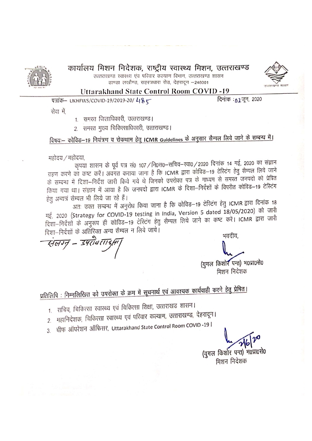

### कार्यालय मिशन निदेशक, राष्ट्रीय स्वास्थ्य मिशन, उत्तराखण्ड

उत्तराखण्ड स्वास्थ्य एंव परिवार कल्याण विभाग, उत्तराखण्ड शासन डाण्डा लखौण्ड, सहस्त्रधारा रोड, देहरादून -248001



#### **Uttarakhand State Control Room COVID-19**

पत्रांक- UKHFWS/COVID-19/2019-20/ 48 (

दिनांक : 11 जून, 2020

सेवा में.

- 1. समस्त जिलाधिकारी, उत्तराखण्ड।
- 2. समस्त मुख्य चिकित्साधिकारी, उत्तराखण्ड।

विषयः– कोविड–19 नियंत्रण व रोकथाम हेतु ICMR Guidelines के अनुसार सैम्पल लिये जाने के सम्बन्ध में।

महोदय / महोदया,

कृपया शासन के पूर्व पत्र सं0 107 / नि0स0–सचिव–रवा0 / 2020 दिनांक 14 मई, 2020 का संज्ञान ग्रहण करने का कष्ट करें। अवगत कराया जाना है कि ICMR द्वारा कोविड–19 टेरिटंग हेतु सैम्पल लिये जाने के सम्बन्ध में दिशा-निर्देश जारी किये गये थे जिनको उपरोक्त पत्र के माध्यम से समस्त जनपदो को प्रेषित किया गया था। संज्ञान में आया है कि जनपदो द्वारा ICMR के दिशा–निर्देशों के विपरीत कोविड–19 टेस्टिंग हेतु अन्यत्रं सैम्पल भी लिये जा रहे हैं।

अतः उक्त सम्बन्ध में अनुरोध किया जाना है कि कोविड–19 टेरिटंग हेतु ICMR द्वारा दिनांक 18 मई, 2020 (Strategy for COVID-19 testing in India, Version 5 dated 18/05/2020) को जारी दिशा-निर्देशों के अनुरूप ही कोविड-19 टेरिटंग हेतु सैम्पल लिये जाने का कष्ट करें। ICMR द्वारा जारी दिशा-निर्देशों के अतिरिक्त अन्य सैम्पल न लिये जाये।

भवदीय,

(युगल किशोर पन्त) भ0प्रा0से0 मिशन निदेशक

# प्रतिलिपि : निम्नलिखित को उपरोक्त के क्रम में सूचनार्थ एवं आवश्यक कार्यवाही करने हेतु प्रेषित।

- १. सचिव, चिकित्सा स्वास्थ्य एवं चिकित्सा शिक्षा, उत्तराखंड शासन।
- २. महानिदेशक, चिकित्सा स्वारथ्य एवं परिवार कल्याण, उत्तराखण्ड, देहरादून।
- 3. चीफ ऑपरेशन ऑफिसर, Uttarakhand State Control Room COVID -19 |

(युगल किशोर पन्त) भ0प्रा0से0

मिशन निर्देशक